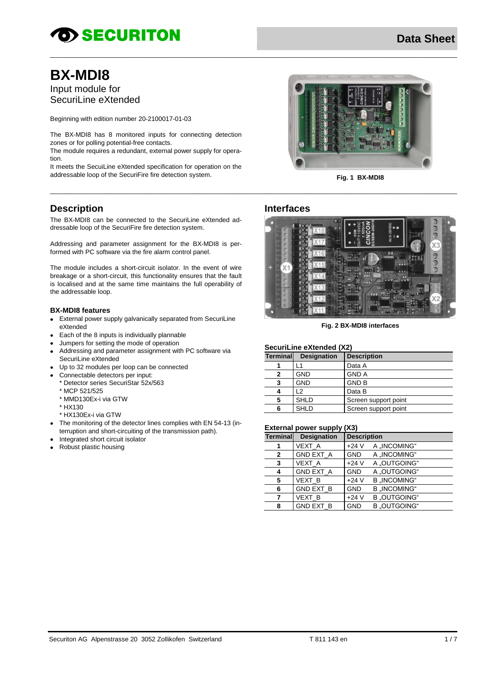# **OD SECURITON**

## **BX-MDI8**

Input module for SecuriLine eXtended

Beginning with edition number 20-2100017-01-03

The BX-MDI8 has 8 monitored inputs for connecting detection zones or for polling potential-free contacts.

The module requires a redundant, external power supply for operation.

It meets the SecuiLine eXtended specification for operation on the addressable loop of the SecuriFire fire detection system.<br>
Fig. 1 BX-MDI8



The BX-MDI8 can be connected to the SecuriLine eXtended addressable loop of the SecuriFire fire detection system.

Addressing and parameter assignment for the BX-MDI8 is performed with PC software via the fire alarm control panel.

The module includes a short-circuit isolator. In the event of wire breakage or a short-circuit, this functionality ensures that the fault is localised and at the same time maintains the full operability of the addressable loop.

#### **BX-MDI8 features**

- External power supply galvanically separated from SecuriLine eXtended
- $\bullet$ Each of the 8 inputs is individually plannable
- Jumpers for setting the mode of operation
- Addressing and parameter assignment with PC software via SecuriLine eXtended
- Up to 32 modules per loop can be connected
- Connectable detectors per input:
	- \* Detector series SecuriStar 52x/563
	- \* MCP 521/525
	- \* MMD130Ex-i via GTW
	- \* HX130
	- \* HX130Ex-i via GTW
- The monitoring of the detector lines complies with EN 54-13 (interruption and short-circuiting of the transmission path).
- Integrated short circuit isolator
- Robust plastic housing



### **Interfaces**

\_\_\_\_\_\_\_\_\_\_\_\_\_\_\_\_\_\_\_\_\_\_\_\_\_\_\_\_\_\_\_\_\_\_\_\_\_\_\_\_\_\_\_\_\_\_\_\_\_\_\_\_\_\_\_\_\_\_\_\_\_\_\_\_\_\_\_\_\_\_\_\_\_\_\_\_\_\_\_\_\_\_\_\_\_\_\_\_\_\_\_\_\_\_\_\_\_\_\_\_\_\_\_\_\_\_\_\_\_\_\_\_\_\_

\_\_\_\_\_\_\_\_\_\_\_\_\_\_\_\_\_\_\_\_\_\_\_\_\_\_\_\_\_\_\_\_\_\_\_\_\_\_\_\_\_\_\_\_\_\_\_\_\_\_\_\_\_\_\_\_\_\_\_\_\_\_\_\_\_\_\_\_\_\_\_\_\_\_\_\_\_\_\_\_\_\_\_\_\_\_\_\_\_\_\_\_\_\_\_\_\_\_\_\_\_\_\_\_\_\_\_\_\_\_\_\_\_\_



**Fig. 2 BX-MDI8 interfaces**

### **SecuriLine eXtended (X2)**

| Terminall | <b>Designation</b> | <b>Description</b>   |
|-----------|--------------------|----------------------|
|           | -1                 | Data A               |
|           | <b>GND</b>         | <b>GND A</b>         |
| 3         | <b>GND</b>         | <b>GND B</b>         |
|           | 12                 | Data B               |
| 5         | <b>SHLD</b>        | Screen support point |
| 6         | <b>SHLD</b>        | Screen support point |

### **External power supply (X3)**

| =************************<br>,,,,, |                    |                    |                     |  |
|------------------------------------|--------------------|--------------------|---------------------|--|
| <b>Terminal</b>                    | <b>Designation</b> | <b>Description</b> |                     |  |
| 1                                  | VEXT A             | $+24V$             | A .INCOMING"        |  |
| $\mathbf{2}$                       | <b>GND EXT A</b>   | <b>GND</b>         | A "INCOMING"        |  |
| 3                                  | VEXT A             | $+24V$             | A .OUTGOING"        |  |
| 4                                  | <b>GND EXT A</b>   | <b>GND</b>         | A "OUTGOING"        |  |
| 5                                  | <b>VEXT B</b>      | $+24V$             | <b>B</b> "INCOMING" |  |
| 6                                  | <b>GND EXT B</b>   | <b>GND</b>         | <b>B</b> "INCOMING" |  |
| 7                                  | <b>VEXT B</b>      | $+24V$             | <b>B</b> "OUTGOING" |  |
| 8                                  | <b>GND EXT B</b>   | <b>GND</b>         | <b>B</b> .OUTGOING" |  |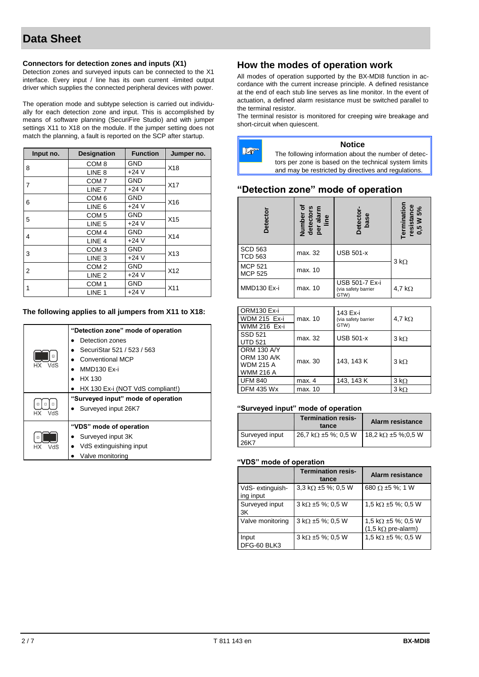#### **Connectors for detection zones and inputs (X1)**

Detection zones and surveyed inputs can be connected to the X1 interface. Every input / line has its own current -limited output driver which supplies the connected peripheral devices with power.

The operation mode and subtype selection is carried out individually for each detection zone and input. This is accomplished by means of software planning (SecuriFire Studio) and with jumper settings X11 to X18 on the module. If the jumper setting does not match the planning, a fault is reported on the SCP after startup.

| Input no. | <b>Designation</b> | <b>Function</b> | Jumper no.      |  |
|-----------|--------------------|-----------------|-----------------|--|
|           | COM <sub>8</sub>   | GND             | X18             |  |
| 8         | LINE <sub>8</sub>  | $+24V$          |                 |  |
| 7         | COM <sub>7</sub>   | <b>GND</b>      |                 |  |
|           | LINE <sub>7</sub>  | $+24V$          | X <sub>17</sub> |  |
|           | COM <sub>6</sub>   | <b>GND</b>      |                 |  |
| 6         | LINE <sub>6</sub>  | $+24V$          | X16             |  |
|           | COM <sub>5</sub>   | <b>GND</b>      | X <sub>15</sub> |  |
| 5         | LINE <sub>5</sub>  | $+24V$          |                 |  |
| 4         | COM <sub>4</sub>   | <b>GND</b>      | X14             |  |
|           | LINE <sub>4</sub>  | $+24V$          |                 |  |
|           | COM <sub>3</sub>   | <b>GND</b>      | X13             |  |
| 3         | LINE <sub>3</sub>  | $+24V$          |                 |  |
| 2         | COM <sub>2</sub>   | <b>GND</b>      | X <sub>12</sub> |  |
|           | LINE <sub>2</sub>  | $+24V$          |                 |  |
|           | COM <sub>1</sub>   | <b>GND</b>      | X11             |  |
| 1         | LINE <sub>1</sub>  | $+24V$          |                 |  |

### **The following applies to all jumpers from X11 to X18:**

| VdS<br>VdS<br>НX | "Detection zone" mode of operation<br>Detection zones<br>SecuriStar 521 / 523 / 563<br>Conventional MCP<br>MMD130 Ex-i<br>HX 130<br>HX 130 Ex-i (NOT VdS compliant!)<br>"Surveyed input" mode of operation<br>• Surveyed input 26K7 |
|------------------|-------------------------------------------------------------------------------------------------------------------------------------------------------------------------------------------------------------------------------------|
| VdS<br>НX        | "VDS" mode of operation<br>Surveyed input 3K<br>VdS extinguishing input<br>Valve monitoring                                                                                                                                         |

### **How the modes of operation work**

All modes of operation supported by the BX-MDI8 function in accordance with the current increase principle. A defined resistance at the end of each stub line serves as line monitor. In the event of actuation, a defined alarm resistance must be switched parallel to the terminal resistor.

The terminal resistor is monitored for creeping wire breakage and short-circuit when quiescent.



### **"Detection zone" mode of operation**

| <b>Detector</b>                  | ৽<br>Number of<br>detectors<br>per alarm<br>line | <b>Detector</b><br>base                       | Termination<br>resistance<br>0,5 W 5% |
|----------------------------------|--------------------------------------------------|-----------------------------------------------|---------------------------------------|
| <b>SCD 563</b><br><b>TCD 563</b> | max. 32                                          | <b>USB 501-x</b>                              | $3 k\Omega$                           |
| <b>MCP 521</b><br><b>MCP 525</b> | max. 10                                          |                                               |                                       |
| MMD130 Ex-i                      | max. 10                                          | USB 501-7 Ex-i<br>(via safety barrier<br>GTW) | 4,7 k $\Omega$                        |

| ORM130 Ex-i         |         | 143 Ex-i            |                     |
|---------------------|---------|---------------------|---------------------|
| <b>WDM 215 Ex-i</b> | max. 10 | (via safety barrier | 4,7 k $\Omega$      |
| <b>WMM 216 Ex-i</b> |         | GTW)                |                     |
| SSD 521             | max. 32 | <b>USB 501-x</b>    | $3 k\Omega$         |
| <b>UTD 521</b>      |         |                     |                     |
| <b>ORM 130 A/Y</b>  |         |                     |                     |
| <b>ORM 130 A/K</b>  | max. 30 | 143, 143 K          | $3 \text{ k}\Omega$ |
| <b>WDM 215 A</b>    |         |                     |                     |
| <b>WMM 216 A</b>    |         |                     |                     |
| <b>UFM 840</b>      | max. 4  | 143, 143 K          | $3 k\Omega$         |
| <b>DFM 435 Wx</b>   | max. 10 |                     | $3 k\Omega$         |

#### **"Surveyed input" mode of operation**

|                        | <b>Termination resis-</b><br>tance           | <b>Alarm resistance</b>    |
|------------------------|----------------------------------------------|----------------------------|
| Surveyed input<br>26K7 | $26.7 \; \text{k}\Omega \pm 5 \; \%$ ; 0,5 W | 18,2 k $\Omega$ ±5 %:0,5 W |

#### **"VDS" mode of operation**

|                              | <b>Termination resis-</b><br>tance | Alarm resistance                                                        |
|------------------------------|------------------------------------|-------------------------------------------------------------------------|
| VdS-extinguish-<br>ing input | 3.3 k $\Omega$ ±5 %; 0.5 W         | 680 $\Omega$ ±5 %; 1 W                                                  |
| Surveyed input<br>3K         | $3 k\Omega \pm 5 \%$ ; 0,5 W       | 1.5 k $\Omega$ ±5 %; 0,5 W                                              |
| Valve monitoring             | $3 k\Omega \pm 5 \%$ ; 0,5 W       | 1.5 k $\Omega$ ±5 %; 0.5 W<br>$(1,5 \text{ k}\Omega \text{ pre-alarm})$ |
| Input<br>DFG-60 BLK3         | $3 k\Omega \pm 5 \%$ ; 0,5 W       | 1,5 k $\Omega$ ±5 %; 0,5 W                                              |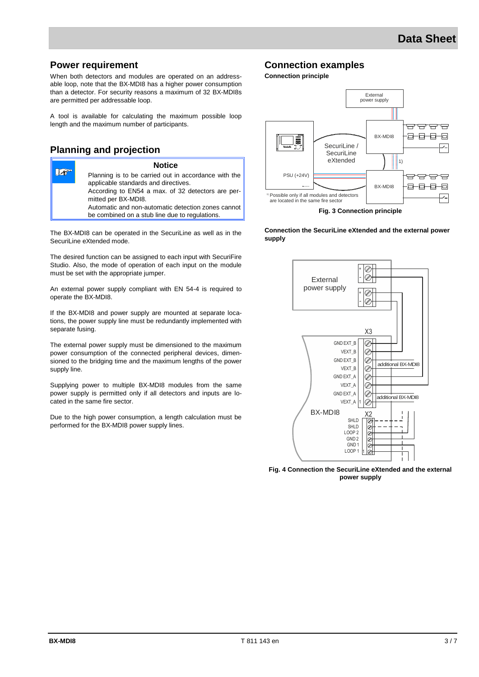### **Power requirement**

When both detectors and modules are operated on an addressable loop, note that the BX-MDI8 has a higher power consumption than a detector. For security reasons a maximum of 32 BX-MDI8s are permitted per addressable loop.

A tool is available for calculating the maximum possible loop length and the maximum number of participants.

### **Planning and projection**

| <b>Notice</b>                                                                                        |
|------------------------------------------------------------------------------------------------------|
| Planning is to be carried out in accordance with the<br>applicable standards and directives.         |
| According to EN54 a max. of 32 detectors are per-<br>mitted per BX-MDI8.                             |
| Automatic and non-automatic detection zones cannot<br>be combined on a stub line due to regulations. |
|                                                                                                      |

The BX-MDI8 can be operated in the SecuriLine as well as in the SecuriLine eXtended mode.

The desired function can be assigned to each input with SecuriFire Studio. Also, the mode of operation of each input on the module must be set with the appropriate jumper.

An external power supply compliant with EN 54-4 is required to operate the BX-MDI8.

If the BX-MDI8 and power supply are mounted at separate locations, the power supply line must be redundantly implemented with separate fusing.

The external power supply must be dimensioned to the maximum power consumption of the connected peripheral devices, dimensioned to the bridging time and the maximum lengths of the power supply line.

Supplying power to multiple BX-MDI8 modules from the same power supply is permitted only if all detectors and inputs are located in the same fire sector.

Due to the high power consumption, a length calculation must be performed for the BX-MDI8 power supply lines.

### **Connection examples**

**Connection principle**



**Connection the SecuriLine eXtended and the external power supply**



**Fig. 4 Connection the SecuriLine eXtended and the external power supply**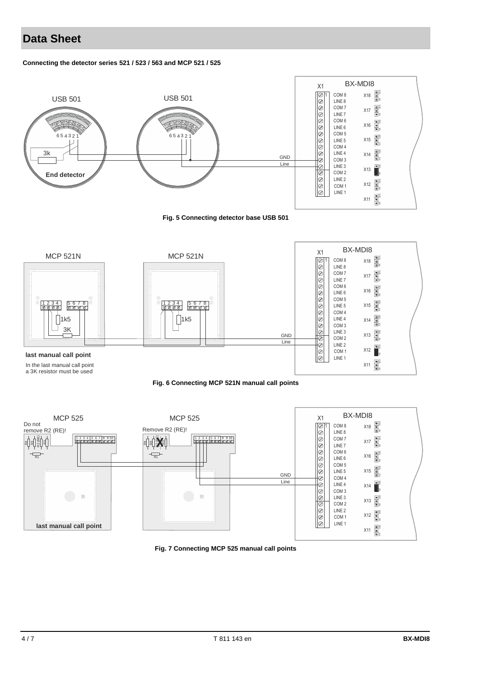### **Data Sheet**

#### **Connecting the detector series 521 / 523 / 563 and MCP 521 / 525**



**Fig. 5 Connecting detector base USB 501**







**Fig. 7 Connecting MCP 525 manual call points**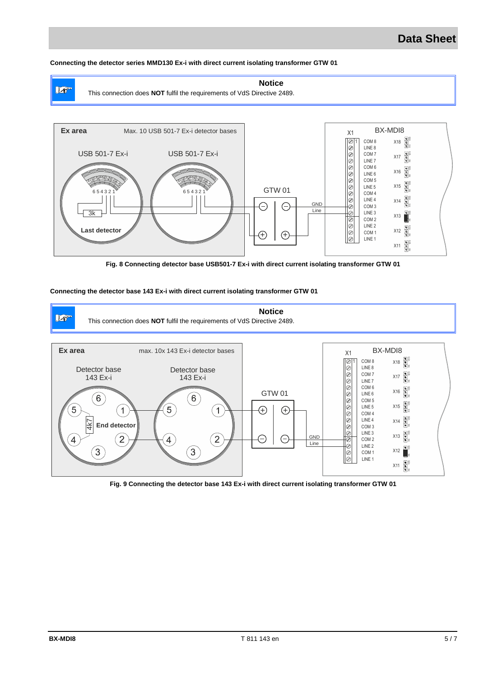### **Data Sheet**

#### **Connecting the detector series MMD130 Ex-i with direct current isolating transformer GTW 01**



**Fig. 8 Connecting detector base USB501-7 Ex-i with direct current isolating transformer GTW 01**

#### **Connecting the detector base 143 Ex-i with direct current isolating transformer GTW 01**



**Fig. 9 Connecting the detector base 143 Ex-i with direct current isolating transformer GTW 01**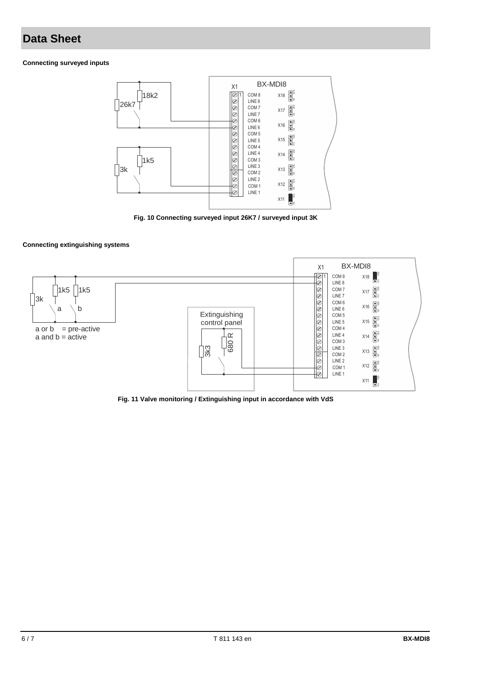### **Data Sheet**

#### **Connecting surveyed inputs**



**Fig. 10 Connecting surveyed input 26K7 / surveyed input 3K**

#### **Connecting extinguishing systems**



**Fig. 11 Valve monitoring / Extinguishing input in accordance with VdS**